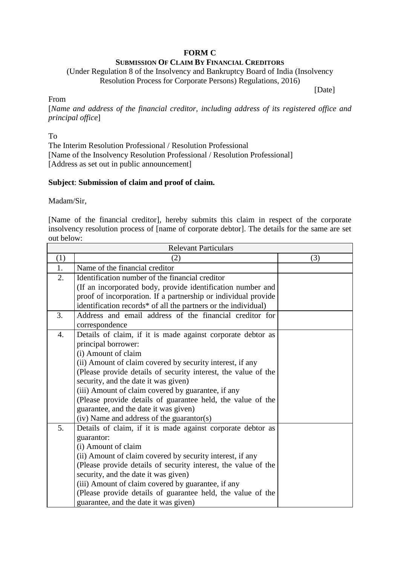# **FORM C**

# **SUBMISSION OF CLAIM BY FINANCIAL CREDITORS**

(Under Regulation 8 of the Insolvency and Bankruptcy Board of India (Insolvency Resolution Process for Corporate Persons) Regulations, 2016)

[Date]

### From

[*Name and address of the financial creditor, including address of its registered office and principal office*]

To

The Interim Resolution Professional / Resolution Professional [Name of the Insolvency Resolution Professional / Resolution Professional] [Address as set out in public announcement]

## **Subject**: **Submission of claim and proof of claim.**

Madam/Sir,

[Name of the financial creditor], hereby submits this claim in respect of the corporate insolvency resolution process of [name of corporate debtor]. The details for the same are set out below:

| <b>Relevant Particulars</b> |                                                                |     |  |
|-----------------------------|----------------------------------------------------------------|-----|--|
| (1)                         | (2)                                                            | (3) |  |
| 1.                          | Name of the financial creditor                                 |     |  |
| 2.                          | Identification number of the financial creditor                |     |  |
|                             | (If an incorporated body, provide identification number and    |     |  |
|                             | proof of incorporation. If a partnership or individual provide |     |  |
|                             | identification records* of all the partners or the individual) |     |  |
| 3.                          | Address and email address of the financial creditor for        |     |  |
|                             | correspondence                                                 |     |  |
| 4.                          | Details of claim, if it is made against corporate debtor as    |     |  |
|                             | principal borrower:                                            |     |  |
|                             | (i) Amount of claim                                            |     |  |
|                             | (ii) Amount of claim covered by security interest, if any      |     |  |
|                             | (Please provide details of security interest, the value of the |     |  |
|                             | security, and the date it was given)                           |     |  |
|                             | (iii) Amount of claim covered by guarantee, if any             |     |  |
|                             | (Please provide details of guarantee held, the value of the    |     |  |
|                             | guarantee, and the date it was given)                          |     |  |
|                             | (iv) Name and address of the guarantor(s)                      |     |  |
| 5.                          | Details of claim, if it is made against corporate debtor as    |     |  |
|                             | guarantor:                                                     |     |  |
|                             | (i) Amount of claim                                            |     |  |
|                             | (ii) Amount of claim covered by security interest, if any      |     |  |
|                             | (Please provide details of security interest, the value of the |     |  |
|                             | security, and the date it was given)                           |     |  |
|                             | (iii) Amount of claim covered by guarantee, if any             |     |  |
|                             | (Please provide details of guarantee held, the value of the    |     |  |
|                             | guarantee, and the date it was given)                          |     |  |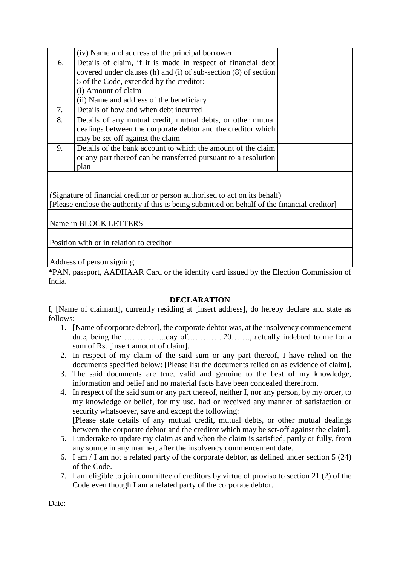|    | (iv) Name and address of the principal borrower                 |  |
|----|-----------------------------------------------------------------|--|
| 6. | Details of claim, if it is made in respect of financial debt    |  |
|    | covered under clauses (h) and (i) of sub-section (8) of section |  |
|    | 5 of the Code, extended by the creditor:                        |  |
|    | (i) Amount of claim                                             |  |
|    | (ii) Name and address of the beneficiary                        |  |
| 7. | Details of how and when debt incurred                           |  |
| 8. | Details of any mutual credit, mutual debts, or other mutual     |  |
|    | dealings between the corporate debtor and the creditor which    |  |
|    | may be set-off against the claim                                |  |
| 9. | Details of the bank account to which the amount of the claim    |  |
|    | or any part thereof can be transferred pursuant to a resolution |  |
|    | plan                                                            |  |

(Signature of financial creditor or person authorised to act on its behalf) [Please enclose the authority if this is being submitted on behalf of the financial creditor]

Name in BLOCK LETTERS

Position with or in relation to creditor

Address of person signing

**\***PAN, passport, AADHAAR Card or the identity card issued by the Election Commission of India.

### **DECLARATION**

I, [Name of claimant], currently residing at [insert address], do hereby declare and state as follows: -

- 1. [Name of corporate debtor], the corporate debtor was, at the insolvency commencement date, being the……………..day of…………..20……., actually indebted to me for a sum of Rs. [insert amount of claim].
- 2. In respect of my claim of the said sum or any part thereof, I have relied on the documents specified below: [Please list the documents relied on as evidence of claim].
- 3. The said documents are true, valid and genuine to the best of my knowledge, information and belief and no material facts have been concealed therefrom.
- 4. In respect of the said sum or any part thereof, neither I, nor any person, by my order, to my knowledge or belief, for my use, had or received any manner of satisfaction or security whatsoever, save and except the following: [Please state details of any mutual credit, mutual debts, or other mutual dealings

between the corporate debtor and the creditor which may be set-off against the claim].

- 5. I undertake to update my claim as and when the claim is satisfied, partly or fully, from any source in any manner, after the insolvency commencement date.
- 6. I am / I am not a related party of the corporate debtor, as defined under section 5 (24) of the Code.
- 7. I am eligible to join committee of creditors by virtue of proviso to section 21 (2) of the Code even though I am a related party of the corporate debtor.

Date: